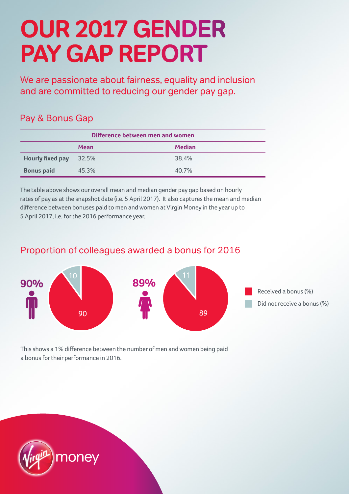## **OUR 2017 GENDER PAY GAP REPORT**

We are passionate about fairness, equality and inclusion and are committed to reducing our gender pay gap.

## Pay & Bonus Gap

| Difference between men and women |             |               |
|----------------------------------|-------------|---------------|
|                                  | <b>Mean</b> | <b>Median</b> |
| <b>Hourly fixed pay</b>          | 32.5%       | 38.4%         |
| <b>Bonus paid</b>                | 45.3%       | 40.7%         |

The table above shows our overall mean and median gender pay gap based on hourly rates of pay as at the snapshot date (i.e. 5 April 2017). It also captures the mean and median difference between bonuses paid to men and women at Virgin Money in the year up to 5 April 2017, i.e. for the 2016 performance year.

## Proportion of colleagues awarded a bonus for 2016



This shows a 1% difference between the number of men and women being paid a bonus for their performance in 2016.